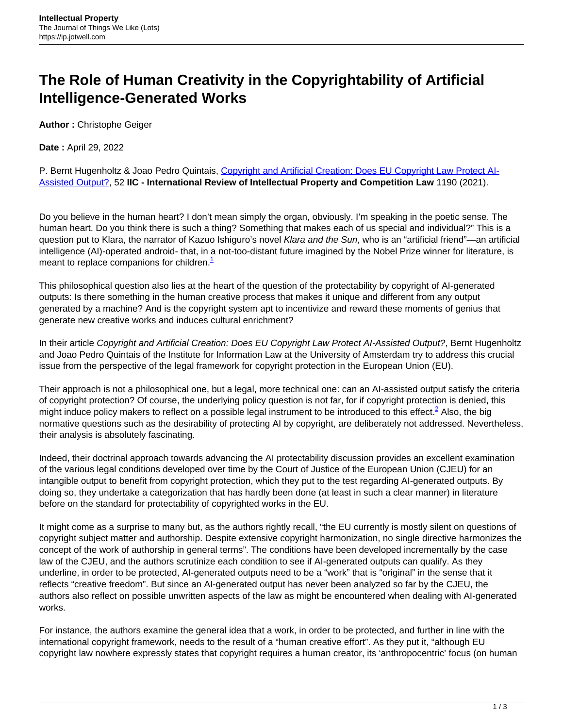## **The Role of Human Creativity in the Copyrightability of Artificial Intelligence-Generated Works**

**Author :** Christophe Geiger

**Date :** April 29, 2022

P. Bernt Hugenholtz & Joao Pedro Quintais, Copyright and Artificial Creation: Does EU Copyright Law Protect Al-[Assisted Output?,](https://link.springer.com/content/pdf/10.1007/s40319-021-01115-0.pdf) 52 **IIC - International Review of Intellectual Property and Competition Law** 1190 (2021).

Do you believe in the human heart? I don't mean simply the organ, obviously. I'm speaking in the poetic sense. The human heart. Do you think there is such a thing? Something that makes each of us special and individual?" This is a question put to Klara, the narrator of Kazuo Ishiguro's novel Klara and the Sun, who is an "artificial friend"—an artificial intelligence (AI)-operated android- that, in a not-too-distant future imagined by the Nobel Prize winner for literature, is meant to replace companions for children. $<sup>1</sup>$ </sup>

This philosophical question also lies at the heart of the question of the protectability by copyright of AI-generated outputs: Is there something in the human creative process that makes it unique and different from any output generated by a machine? And is the copyright system apt to incentivize and reward these moments of genius that generate new creative works and induces cultural enrichment?

In their article Copyright and Artificial Creation: Does EU Copyright Law Protect AI-Assisted Output?, Bernt Hugenholtz and Joao Pedro Quintais of the Institute for Information Law at the University of Amsterdam try to address this crucial issue from the perspective of the legal framework for copyright protection in the European Union (EU).

Their approach is not a philosophical one, but a legal, more technical one: can an AI-assisted output satisfy the criteria of copyright protection? Of course, the underlying policy question is not far, for if copyright protection is denied, this might induce policy makers to reflect on a possible legal instrument to be introduced to this effect.<sup>2</sup> Also, the big normative questions such as the desirability of protecting AI by copyright, are deliberately not addressed. Nevertheless, their analysis is absolutely fascinating.

Indeed, their doctrinal approach towards advancing the AI protectability discussion provides an excellent examination of the various legal conditions developed over time by the Court of Justice of the European Union (CJEU) for an intangible output to benefit from copyright protection, which they put to the test regarding AI-generated outputs. By doing so, they undertake a categorization that has hardly been done (at least in such a clear manner) in literature before on the standard for protectability of copyrighted works in the EU.

It might come as a surprise to many but, as the authors rightly recall, "the EU currently is mostly silent on questions of copyright subject matter and authorship. Despite extensive copyright harmonization, no single directive harmonizes the concept of the work of authorship in general terms". The conditions have been developed incrementally by the case law of the CJEU, and the authors scrutinize each condition to see if AI-generated outputs can qualify. As they underline, in order to be protected, AI-generated outputs need to be a "work" that is "original" in the sense that it reflects "creative freedom". But since an AI-generated output has never been analyzed so far by the CJEU, the authors also reflect on possible unwritten aspects of the law as might be encountered when dealing with AI-generated works.

For instance, the authors examine the general idea that a work, in order to be protected, and further in line with the international copyright framework, needs to the result of a "human creative effort". As they put it, "although EU copyright law nowhere expressly states that copyright requires a human creator, its 'anthropocentric' focus (on human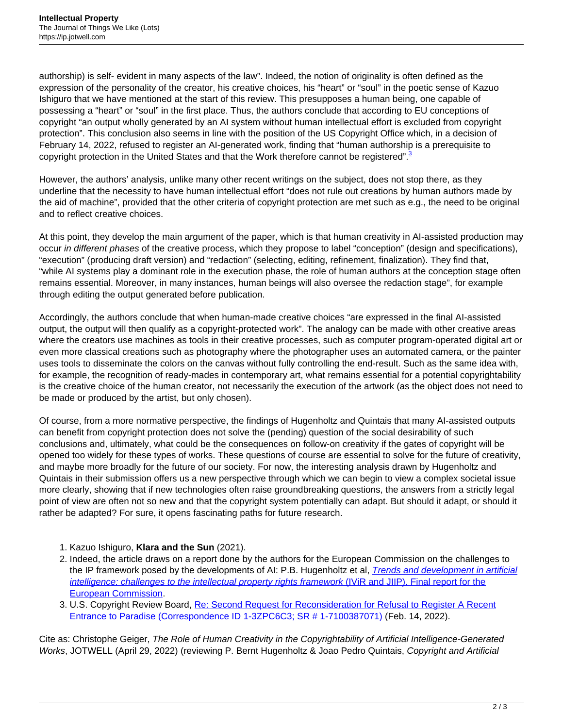authorship) is self- evident in many aspects of the law". Indeed, the notion of originality is often defined as the expression of the personality of the creator, his creative choices, his "heart" or "soul" in the poetic sense of Kazuo Ishiguro that we have mentioned at the start of this review. This presupposes a human being, one capable of possessing a "heart" or "soul" in the first place. Thus, the authors conclude that according to EU conceptions of copyright "an output wholly generated by an AI system without human intellectual effort is excluded from copyright protection". This conclusion also seems in line with the position of the US Copyright Office which, in a decision of February 14, 2022, refused to register an AI-generated work, finding that "human authorship is a prerequisite to copyright protection in the United States and that the Work therefore cannot be registered".<sup>3</sup>

However, the authors' analysis, unlike many other recent writings on the subject, does not stop there, as they underline that the necessity to have human intellectual effort "does not rule out creations by human authors made by the aid of machine", provided that the other criteria of copyright protection are met such as e.g., the need to be original and to reflect creative choices.

At this point, they develop the main argument of the paper, which is that human creativity in AI-assisted production may occur in different phases of the creative process, which they propose to label "conception" (design and specifications), "execution" (producing draft version) and "redaction" (selecting, editing, refinement, finalization). They find that, "while AI systems play a dominant role in the execution phase, the role of human authors at the conception stage often remains essential. Moreover, in many instances, human beings will also oversee the redaction stage", for example through editing the output generated before publication.

Accordingly, the authors conclude that when human-made creative choices "are expressed in the final AI-assisted output, the output will then qualify as a copyright-protected work". The analogy can be made with other creative areas where the creators use machines as tools in their creative processes, such as computer program-operated digital art or even more classical creations such as photography where the photographer uses an automated camera, or the painter uses tools to disseminate the colors on the canvas without fully controlling the end-result. Such as the same idea with, for example, the recognition of ready-mades in contemporary art, what remains essential for a potential copyrightability is the creative choice of the human creator, not necessarily the execution of the artwork (as the object does not need to be made or produced by the artist, but only chosen).

Of course, from a more normative perspective, the findings of Hugenholtz and Quintais that many AI-assisted outputs can benefit from copyright protection does not solve the (pending) question of the social desirability of such conclusions and, ultimately, what could be the consequences on follow-on creativity if the gates of copyright will be opened too widely for these types of works. These questions of course are essential to solve for the future of creativity, and maybe more broadly for the future of our society. For now, the interesting analysis drawn by Hugenholtz and Quintais in their submission offers us a new perspective through which we can begin to view a complex societal issue more clearly, showing that if new technologies often raise groundbreaking questions, the answers from a strictly legal point of view are often not so new and that the copyright system potentially can adapt. But should it adapt, or should it rather be adapted? For sure, it opens fascinating paths for future research.

- 1. Kazuo Ishiguro, **Klara and the Sun** (2021).
- 2. Indeed, the article draws on a report done by the authors for the European Commission on the challenges to the IP framework posed by the developments of AI: P.B. Hugenholtz et al, *[Trends and development in artificial](https://op.europa.eu/en/publication-detail/-/publication/394345a1-2ecf-11eb-b27b-01aa75ed71a1/language-en)* [intelligence: challenges to the intellectual property rights framework](https://op.europa.eu/en/publication-detail/-/publication/394345a1-2ecf-11eb-b27b-01aa75ed71a1/language-en) [\(IViR and JIIP\). Final report for the](https://op.europa.eu/en/publication-detail/-/publication/394345a1-2ecf-11eb-b27b-01aa75ed71a1/language-en) [European Commission](https://op.europa.eu/en/publication-detail/-/publication/394345a1-2ecf-11eb-b27b-01aa75ed71a1/language-en).
- 3. U.S. Copyright Review Board, [Re: Second Request for Reconsideration for Refusal to Register A Recent](https://www.copyright.gov/rulings-filings/review-board/docs/a-recent-entrance-to-paradise.pdf) [Entrance to Paradise \(Correspondence ID 1-3ZPC6C3; SR # 1-7100387071\)](https://www.copyright.gov/rulings-filings/review-board/docs/a-recent-entrance-to-paradise.pdf) (Feb. 14, 2022).

Cite as: Christophe Geiger, The Role of Human Creativity in the Copyrightability of Artificial Intelligence-Generated Works, JOTWELL (April 29, 2022) (reviewing P. Bernt Hugenholtz & Joao Pedro Quintais, Copyright and Artificial